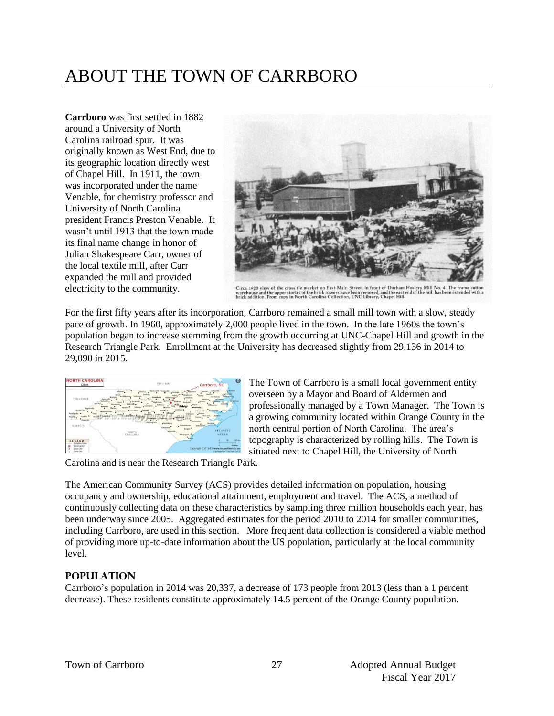# ABOUT THE TOWN OF CARRBORO

**Carrboro** was first settled in 1882 around a University of North Carolina railroad spur. It was originally known as West End, due to its geographic location directly west of Chapel Hill. In 1911, the town was incorporated under the name Venable, for chemistry professor and University of North Carolina president Francis Preston Venable. It wasn't until 1913 that the town made its final name change in honor of Julian Shakespeare Carr, owner of the local textile mill, after Carr expanded the mill and provided electricity to the community.



Circa 1920 view of the cross tie market on East Main Street, in front of Durham Hosiery Mill No. 4. The frame cotton<br>warehouse and the upper stories of the brick towers have been removed, and the east end of the mill has b

For the first fifty years after its incorporation, Carrboro remained a small mill town with a slow, steady pace of growth. In 1960, approximately 2,000 people lived in the town. In the late 1960s the town's population began to increase stemming from the growth occurring at UNC-Chapel Hill and growth in the Research Triangle Park. Enrollment at the University has decreased slightly from 29,136 in 2014 to 29,090 in 2015.



The Town of Carrboro is a small local government entity overseen by a Mayor and Board of Aldermen and professionally managed by a Town Manager. The Town is a growing community located within Orange County in the north central portion of North Carolina. The area's topography is characterized by rolling hills. The Town is situated next to Chapel Hill, the University of North

Carolina and is near the Research Triangle Park.

The American Community Survey (ACS) provides detailed information on population, housing occupancy and ownership, educational attainment, employment and travel. The ACS, a method of continuously collecting data on these characteristics by sampling three million households each year, has been underway since 2005. Aggregated estimates for the period 2010 to 2014 for smaller communities, including Carrboro, are used in this section. More frequent data collection is considered a viable method of providing more up-to-date information about the US population, particularly at the local community level.

# **Population**

Carrboro's population in 2014 was 20,337, a decrease of 173 people from 2013 (less than a 1 percent decrease). These residents constitute approximately 14.5 percent of the Orange County population.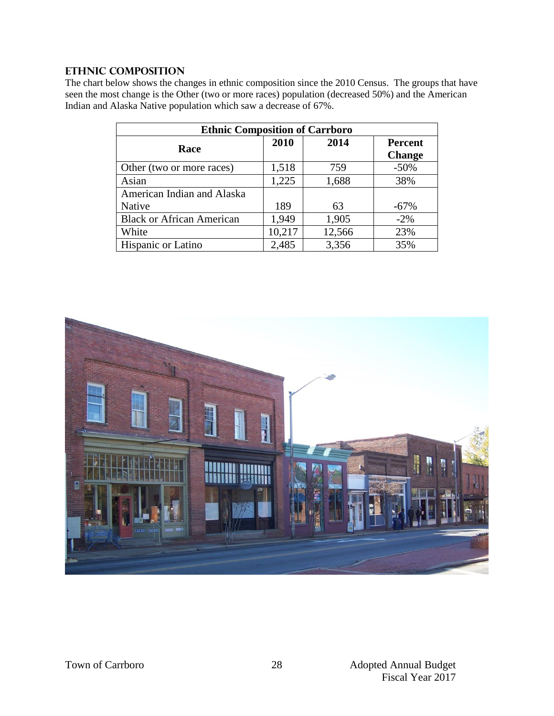#### **Ethnic Composition**

The chart below shows the changes in ethnic composition since the 2010 Census. The groups that have seen the most change is the Other (two or more races) population (decreased 50%) and the American Indian and Alaska Native population which saw a decrease of 67%.

| <b>Ethnic Composition of Carrboro</b> |        |        |                |  |
|---------------------------------------|--------|--------|----------------|--|
| Race                                  | 2010   | 2014   | <b>Percent</b> |  |
|                                       |        |        | <b>Change</b>  |  |
| Other (two or more races)             | 1,518  | 759    | $-50\%$        |  |
| Asian                                 | 1,225  | 1,688  | 38%            |  |
| American Indian and Alaska            |        |        |                |  |
| Native                                | 189    | 63     | $-67%$         |  |
| <b>Black or African American</b>      | 1,949  | 1,905  | $-2\%$         |  |
| White                                 | 10,217 | 12,566 | 23%            |  |
| Hispanic or Latino                    | 2,485  | 3,356  | 35%            |  |

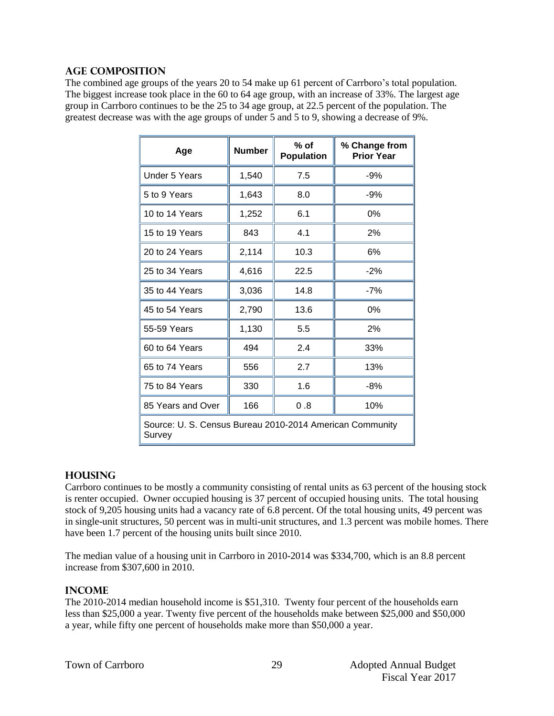#### **Age Composition**

The combined age groups of the years 20 to 54 make up 61 percent of Carrboro's total population. The biggest increase took place in the 60 to 64 age group, with an increase of 33%. The largest age group in Carrboro continues to be the 25 to 34 age group, at 22.5 percent of the population. The greatest decrease was with the age groups of under 5 and 5 to 9, showing a decrease of 9%.

| Age                                                                | <b>Number</b> | $%$ of<br><b>Population</b> | % Change from<br><b>Prior Year</b> |  |
|--------------------------------------------------------------------|---------------|-----------------------------|------------------------------------|--|
| <b>Under 5 Years</b>                                               | 1,540         | 7.5                         | $-9%$                              |  |
| 5 to 9 Years                                                       | 1,643         | 8.0                         | $-9%$                              |  |
| 10 to 14 Years                                                     | 1,252         | 6.1                         | 0%                                 |  |
| 15 to 19 Years                                                     | 843           | 4.1                         | 2%                                 |  |
| 20 to 24 Years                                                     | 2,114         | 10.3                        | 6%                                 |  |
| 25 to 34 Years                                                     | 4,616         | 22.5                        | $-2%$                              |  |
| 35 to 44 Years                                                     | 3,036         | 14.8                        | $-7%$                              |  |
| 45 to 54 Years                                                     | 2,790         | 13.6                        | 0%                                 |  |
| 55-59 Years                                                        | 1,130         | 5.5                         | 2%                                 |  |
| 60 to 64 Years                                                     | 494           | 2.4                         | 33%                                |  |
| 65 to 74 Years                                                     | 556           | 2.7                         | 13%                                |  |
| 75 to 84 Years                                                     | 330           | 1.6                         | $-8%$                              |  |
| 85 Years and Over                                                  | 166           | 0.8                         | 10%                                |  |
| Source: U. S. Census Bureau 2010-2014 American Community<br>Survey |               |                             |                                    |  |

#### **Housing**

Carrboro continues to be mostly a community consisting of rental units as 63 percent of the housing stock is renter occupied. Owner occupied housing is 37 percent of occupied housing units. The total housing stock of 9,205 housing units had a vacancy rate of 6.8 percent. Of the total housing units, 49 percent was in single-unit structures, 50 percent was in multi-unit structures, and 1.3 percent was mobile homes. There have been 1.7 percent of the housing units built since 2010.

The median value of a housing unit in Carrboro in 2010-2014 was \$334,700, which is an 8.8 percent increase from \$307,600 in 2010.

#### **Income**

The 2010-2014 median household income is \$51,310. Twenty four percent of the households earn less than \$25,000 a year. Twenty five percent of the households make between \$25,000 and \$50,000 a year, while fifty one percent of households make more than \$50,000 a year.

29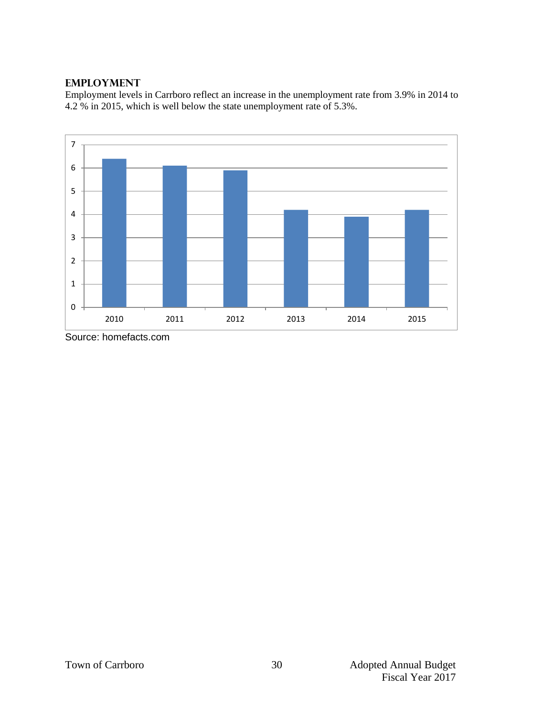#### **Employment**

Employment levels in Carrboro reflect an increase in the unemployment rate from 3.9% in 2014 to 4.2 % in 2015, which is well below the state unemployment rate of 5.3%.



Source: homefacts.com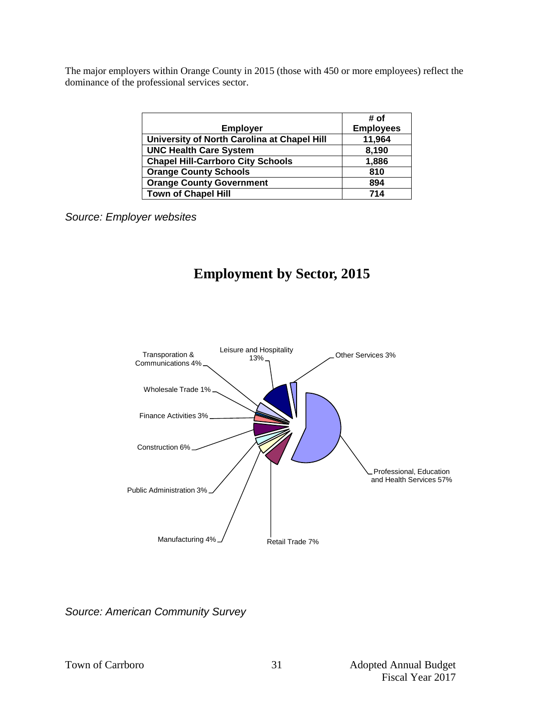The major employers within Orange County in 2015 (those with 450 or more employees) reflect the dominance of the professional services sector.

|                                             | # of             |
|---------------------------------------------|------------------|
| <b>Employer</b>                             | <b>Employees</b> |
| University of North Carolina at Chapel Hill | 11,964           |
| <b>UNC Health Care System</b>               | 8,190            |
| <b>Chapel Hill-Carrboro City Schools</b>    | 1,886            |
| <b>Orange County Schools</b>                | 810              |
| <b>Orange County Government</b>             | 894              |
| <b>Town of Chapel Hill</b>                  | 714              |

*Source: Employer websites*

# **Employment by Sector, 2015**



*Source: American Community Survey*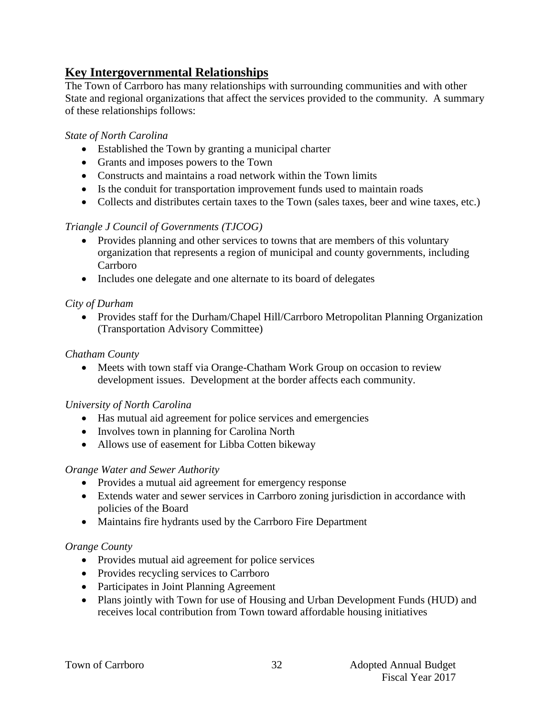# **Key Intergovernmental Relationships**

The Town of Carrboro has many relationships with surrounding communities and with other State and regional organizations that affect the services provided to the community. A summary of these relationships follows:

# *State of North Carolina*

- Established the Town by granting a municipal charter
- Grants and imposes powers to the Town
- Constructs and maintains a road network within the Town limits
- Is the conduit for transportation improvement funds used to maintain roads
- Collects and distributes certain taxes to the Town (sales taxes, beer and wine taxes, etc.)

# *Triangle J Council of Governments (TJCOG)*

- Provides planning and other services to towns that are members of this voluntary organization that represents a region of municipal and county governments, including Carrboro
- Includes one delegate and one alternate to its board of delegates

# *City of Durham*

• Provides staff for the Durham/Chapel Hill/Carrboro Metropolitan Planning Organization (Transportation Advisory Committee)

# *Chatham County*

• Meets with town staff via Orange-Chatham Work Group on occasion to review development issues. Development at the border affects each community.

## *University of North Carolina*

- Has mutual aid agreement for police services and emergencies
- Involves town in planning for Carolina North
- Allows use of easement for Libba Cotten bikeway

## *Orange Water and Sewer Authority*

- Provides a mutual aid agreement for emergency response
- Extends water and sewer services in Carrboro zoning jurisdiction in accordance with policies of the Board
- Maintains fire hydrants used by the Carrboro Fire Department

## *Orange County*

- Provides mutual aid agreement for police services
- Provides recycling services to Carrboro
- Participates in Joint Planning Agreement
- Plans jointly with Town for use of Housing and Urban Development Funds (HUD) and receives local contribution from Town toward affordable housing initiatives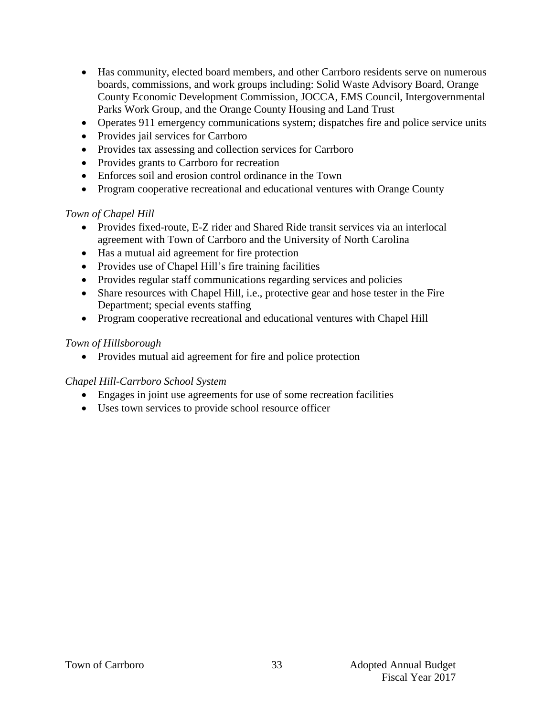- Has community, elected board members, and other Carrboro residents serve on numerous boards, commissions, and work groups including: Solid Waste Advisory Board, Orange County Economic Development Commission, JOCCA, EMS Council, Intergovernmental Parks Work Group, and the Orange County Housing and Land Trust
- Operates 911 emergency communications system; dispatches fire and police service units
- Provides jail services for Carrboro
- Provides tax assessing and collection services for Carrboro
- Provides grants to Carrboro for recreation
- Enforces soil and erosion control ordinance in the Town
- Program cooperative recreational and educational ventures with Orange County

## *Town of Chapel Hill*

- Provides fixed-route, E-Z rider and Shared Ride transit services via an interlocal agreement with Town of Carrboro and the University of North Carolina
- Has a mutual aid agreement for fire protection
- Provides use of Chapel Hill's fire training facilities
- Provides regular staff communications regarding services and policies
- Share resources with Chapel Hill, i.e., protective gear and hose tester in the Fire Department; special events staffing
- Program cooperative recreational and educational ventures with Chapel Hill

## *Town of Hillsborough*

• Provides mutual aid agreement for fire and police protection

# *Chapel Hill-Carrboro School System*

- Engages in joint use agreements for use of some recreation facilities
- Uses town services to provide school resource officer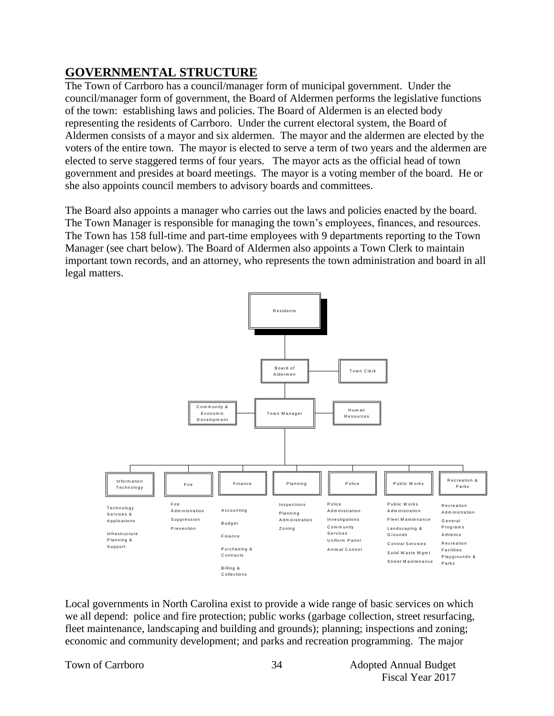# **GOVERNMENTAL STRUCTURE**

The Town of Carrboro has a council/manager form of municipal government. Under the council/manager form of government, the Board of Aldermen performs the legislative functions of the town: establishing laws and policies. The Board of Aldermen is an elected body representing the residents of Carrboro. Under the current electoral system, the Board of Aldermen consists of a mayor and six aldermen. The mayor and the aldermen are elected by the voters of the entire town. The mayor is elected to serve a term of two years and the aldermen are elected to serve staggered terms of four years. The mayor acts as the official head of town government and presides at board meetings. The mayor is a voting member of the board. He or she also appoints council members to advisory boards and committees.

The Board also appoints a manager who carries out the laws and policies enacted by the board. The Town Manager is responsible for managing the town's employees, finances, and resources. The Town has 158 full-time and part-time employees with 9 departments reporting to the Town Manager (see chart below). The Board of Aldermen also appoints a Town Clerk to maintain important town records, and an attorney, who represents the town administration and board in all legal matters.



Local governments in North Carolina exist to provide a wide range of basic services on which we all depend: police and fire protection; public works (garbage collection, street resurfacing, fleet maintenance, landscaping and building and grounds); planning; inspections and zoning; economic and community development; and parks and recreation programming. The major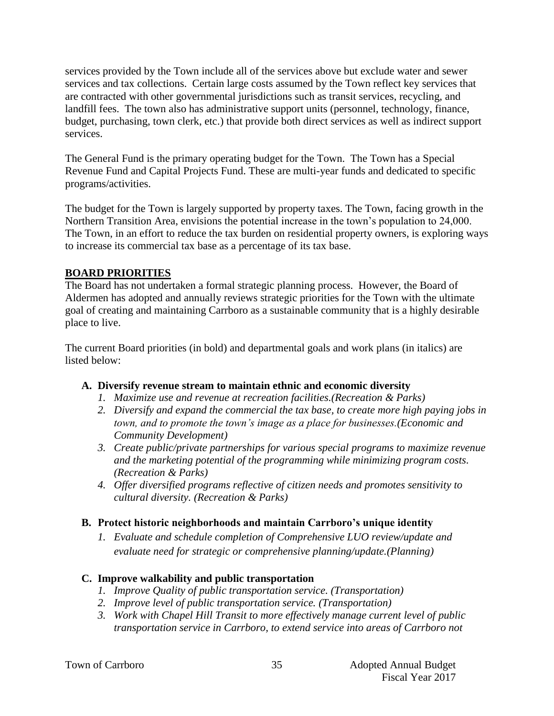services provided by the Town include all of the services above but exclude water and sewer services and tax collections. Certain large costs assumed by the Town reflect key services that are contracted with other governmental jurisdictions such as transit services, recycling, and landfill fees. The town also has administrative support units (personnel, technology, finance, budget, purchasing, town clerk, etc.) that provide both direct services as well as indirect support services.

The General Fund is the primary operating budget for the Town. The Town has a Special Revenue Fund and Capital Projects Fund. These are multi-year funds and dedicated to specific programs/activities.

The budget for the Town is largely supported by property taxes. The Town, facing growth in the Northern Transition Area, envisions the potential increase in the town's population to 24,000. The Town, in an effort to reduce the tax burden on residential property owners, is exploring ways to increase its commercial tax base as a percentage of its tax base.

# **BOARD PRIORITIES**

The Board has not undertaken a formal strategic planning process. However, the Board of Aldermen has adopted and annually reviews strategic priorities for the Town with the ultimate goal of creating and maintaining Carrboro as a sustainable community that is a highly desirable place to live.

The current Board priorities (in bold) and departmental goals and work plans (in italics) are listed below:

# **A. Diversify revenue stream to maintain ethnic and economic diversity**

- *1. Maximize use and revenue at recreation facilities.(Recreation & Parks)*
- *2. Diversify and expand the commercial the tax base, to create more high paying jobs in town, and to promote the town's image as a place for businesses.(Economic and Community Development)*
- *3. Create public/private partnerships for various special programs to maximize revenue and the marketing potential of the programming while minimizing program costs. (Recreation & Parks)*
- *4. Offer diversified programs reflective of citizen needs and promotes sensitivity to cultural diversity. (Recreation & Parks)*

## **B. Protect historic neighborhoods and maintain Carrboro's unique identity**

*1. Evaluate and schedule completion of Comprehensive LUO review/update and evaluate need for strategic or comprehensive planning/update.(Planning)*

## **C. Improve walkability and public transportation**

- *1. Improve Quality of public transportation service. (Transportation)*
- *2. Improve level of public transportation service. (Transportation)*
- *3. Work with Chapel Hill Transit to more effectively manage current level of public transportation service in Carrboro, to extend service into areas of Carrboro not*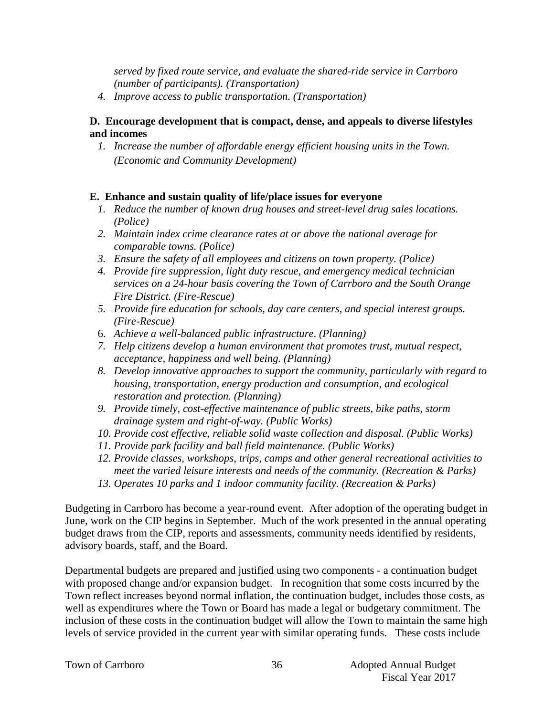*served by fixed route service, and evaluate the shared-ride service in Carrboro (number of participants). (Transportation)*

*4. Improve access to public transportation. (Transportation)*

# **D. Encourage development that is compact, dense, and appeals to diverse lifestyles and incomes**

*1. Increase the number of affordable energy efficient housing units in the Town. (Economic and Community Development)*

# **E. Enhance and sustain quality of life/place issues for everyone**

- *1. Reduce the number of known drug houses and street-level drug sales locations. (Police)*
- *2. Maintain index crime clearance rates at or above the national average for comparable towns. (Police)*
- *3. Ensure the safety of all employees and citizens on town property. (Police)*
- *4. Provide fire suppression, light duty rescue, and emergency medical technician services on a 24-hour basis covering the Town of Carrboro and the South Orange Fire District. (Fire-Rescue)*
- *5. Provide fire education for schools, day care centers, and special interest groups. (Fire-Rescue)*
- 6. *Achieve a well-balanced public infrastructure*. *(Planning)*
- *7. Help citizens develop a human environment that promotes trust, mutual respect, acceptance, happiness and well being. (Planning)*
- *8. Develop innovative approaches to support the community, particularly with regard to housing, transportation, energy production and consumption, and ecological restoration and protection. (Planning)*
- *9. Provide timely, cost-effective maintenance of public streets, bike paths, storm drainage system and right-of-way. (Public Works)*
- *10. Provide cost effective, reliable solid waste collection and disposal. (Public Works)*
- *11. Provide park facility and ball field maintenance. (Public Works)*
- *12. Provide classes, workshops, trips, camps and other general recreational activities to meet the varied leisure interests and needs of the community. (Recreation & Parks)*
- *13. Operates 10 parks and 1 indoor community facility. (Recreation & Parks)*

Budgeting in Carrboro has become a year-round event. After adoption of the operating budget in June, work on the CIP begins in September. Much of the work presented in the annual operating budget draws from the CIP, reports and assessments, community needs identified by residents, advisory boards, staff, and the Board.

Departmental budgets are prepared and justified using two components - a continuation budget with proposed change and/or expansion budget. In recognition that some costs incurred by the Town reflect increases beyond normal inflation, the continuation budget, includes those costs, as well as expenditures where the Town or Board has made a legal or budgetary commitment. The inclusion of these costs in the continuation budget will allow the Town to maintain the same high levels of service provided in the current year with similar operating funds. These costs include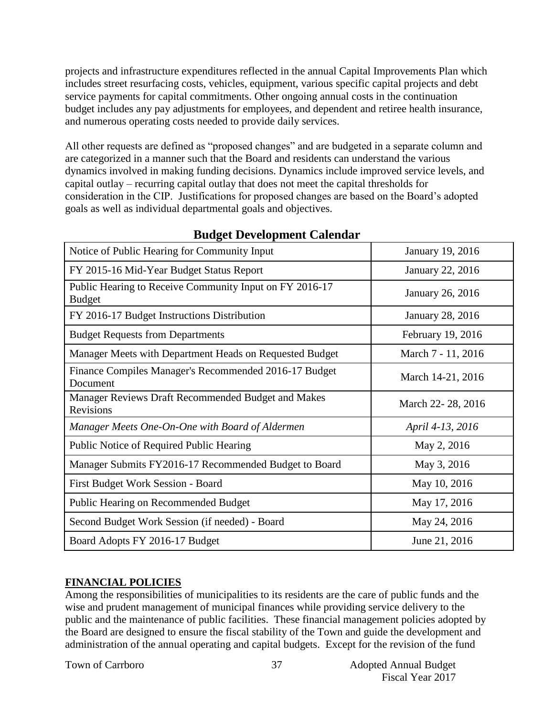projects and infrastructure expenditures reflected in the annual Capital Improvements Plan which includes street resurfacing costs, vehicles, equipment, various specific capital projects and debt service payments for capital commitments. Other ongoing annual costs in the continuation budget includes any pay adjustments for employees, and dependent and retiree health insurance, and numerous operating costs needed to provide daily services.

All other requests are defined as "proposed changes" and are budgeted in a separate column and are categorized in a manner such that the Board and residents can understand the various dynamics involved in making funding decisions. Dynamics include improved service levels, and capital outlay – recurring capital outlay that does not meet the capital thresholds for consideration in the CIP. Justifications for proposed changes are based on the Board's adopted goals as well as individual departmental goals and objectives.

| Notice of Public Hearing for Community Input                             | January 19, 2016        |
|--------------------------------------------------------------------------|-------------------------|
| FY 2015-16 Mid-Year Budget Status Report                                 | January 22, 2016        |
| Public Hearing to Receive Community Input on FY 2016-17<br><b>Budget</b> | January 26, 2016        |
| FY 2016-17 Budget Instructions Distribution                              | <b>January 28, 2016</b> |
| <b>Budget Requests from Departments</b>                                  | February 19, 2016       |
| Manager Meets with Department Heads on Requested Budget                  | March 7 - 11, 2016      |
| Finance Compiles Manager's Recommended 2016-17 Budget<br>Document        | March 14-21, 2016       |
| Manager Reviews Draft Recommended Budget and Makes<br>Revisions          | March 22-28, 2016       |
| Manager Meets One-On-One with Board of Aldermen                          | April 4-13, 2016        |
| Public Notice of Required Public Hearing                                 | May 2, 2016             |
| Manager Submits FY2016-17 Recommended Budget to Board                    | May 3, 2016             |
| First Budget Work Session - Board                                        | May 10, 2016            |
| <b>Public Hearing on Recommended Budget</b>                              | May 17, 2016            |
| Second Budget Work Session (if needed) - Board                           | May 24, 2016            |
| Board Adopts FY 2016-17 Budget                                           | June 21, 2016           |

# **Budget Development Calendar**

## **FINANCIAL POLICIES**

Among the responsibilities of municipalities to its residents are the care of public funds and the wise and prudent management of municipal finances while providing service delivery to the public and the maintenance of public facilities. These financial management policies adopted by the Board are designed to ensure the fiscal stability of the Town and guide the development and administration of the annual operating and capital budgets. Except for the revision of the fund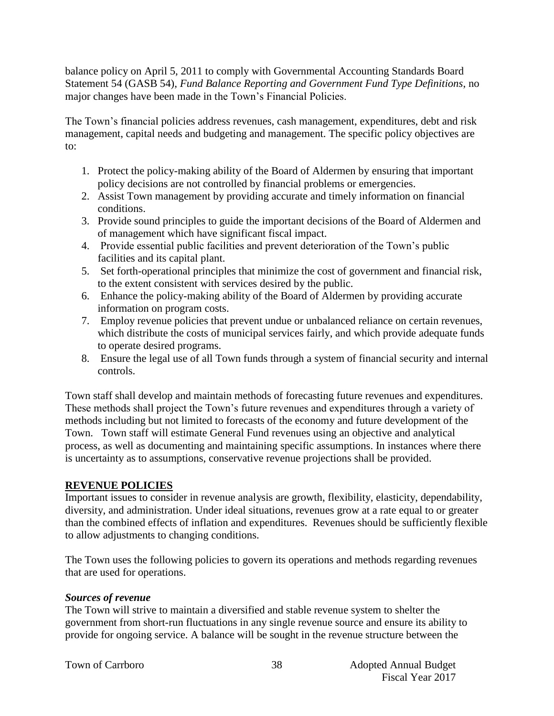balance policy on April 5, 2011 to comply with Governmental Accounting Standards Board Statement 54 (GASB 54), *Fund Balance Reporting and Government Fund Type Definitions*, no major changes have been made in the Town's Financial Policies.

The Town's financial policies address revenues, cash management, expenditures, debt and risk management, capital needs and budgeting and management. The specific policy objectives are to:

- 1. Protect the policy-making ability of the Board of Aldermen by ensuring that important policy decisions are not controlled by financial problems or emergencies.
- 2. Assist Town management by providing accurate and timely information on financial conditions.
- 3. Provide sound principles to guide the important decisions of the Board of Aldermen and of management which have significant fiscal impact.
- 4. Provide essential public facilities and prevent deterioration of the Town's public facilities and its capital plant.
- 5. Set forth-operational principles that minimize the cost of government and financial risk, to the extent consistent with services desired by the public.
- 6. Enhance the policy-making ability of the Board of Aldermen by providing accurate information on program costs.
- 7. Employ revenue policies that prevent undue or unbalanced reliance on certain revenues, which distribute the costs of municipal services fairly, and which provide adequate funds to operate desired programs.
- 8. Ensure the legal use of all Town funds through a system of financial security and internal controls.

Town staff shall develop and maintain methods of forecasting future revenues and expenditures. These methods shall project the Town's future revenues and expenditures through a variety of methods including but not limited to forecasts of the economy and future development of the Town. Town staff will estimate General Fund revenues using an objective and analytical process, as well as documenting and maintaining specific assumptions. In instances where there is uncertainty as to assumptions, conservative revenue projections shall be provided.

# **REVENUE POLICIES**

Important issues to consider in revenue analysis are growth, flexibility, elasticity, dependability, diversity, and administration. Under ideal situations, revenues grow at a rate equal to or greater than the combined effects of inflation and expenditures. Revenues should be sufficiently flexible to allow adjustments to changing conditions.

The Town uses the following policies to govern its operations and methods regarding revenues that are used for operations.

## *Sources of revenue*

The Town will strive to maintain a diversified and stable revenue system to shelter the government from short-run fluctuations in any single revenue source and ensure its ability to provide for ongoing service. A balance will be sought in the revenue structure between the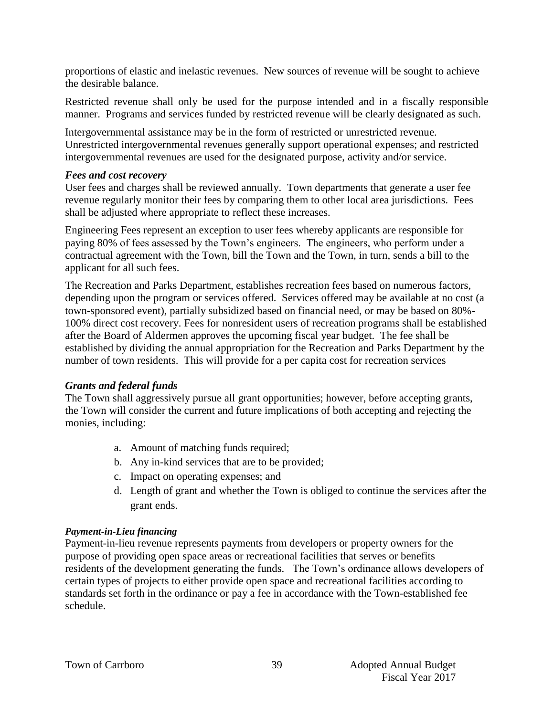proportions of elastic and inelastic revenues. New sources of revenue will be sought to achieve the desirable balance.

Restricted revenue shall only be used for the purpose intended and in a fiscally responsible manner. Programs and services funded by restricted revenue will be clearly designated as such.

Intergovernmental assistance may be in the form of restricted or unrestricted revenue. Unrestricted intergovernmental revenues generally support operational expenses; and restricted intergovernmental revenues are used for the designated purpose, activity and/or service.

#### *Fees and cost recovery*

User fees and charges shall be reviewed annually. Town departments that generate a user fee revenue regularly monitor their fees by comparing them to other local area jurisdictions. Fees shall be adjusted where appropriate to reflect these increases.

Engineering Fees represent an exception to user fees whereby applicants are responsible for paying 80% of fees assessed by the Town's engineers. The engineers, who perform under a contractual agreement with the Town, bill the Town and the Town, in turn, sends a bill to the applicant for all such fees.

The Recreation and Parks Department, establishes recreation fees based on numerous factors, depending upon the program or services offered. Services offered may be available at no cost (a town-sponsored event), partially subsidized based on financial need, or may be based on 80%- 100% direct cost recovery. Fees for nonresident users of recreation programs shall be established after the Board of Aldermen approves the upcoming fiscal year budget. The fee shall be established by dividing the annual appropriation for the Recreation and Parks Department by the number of town residents. This will provide for a per capita cost for recreation services

## *Grants and federal funds*

The Town shall aggressively pursue all grant opportunities; however, before accepting grants, the Town will consider the current and future implications of both accepting and rejecting the monies, including:

- a. Amount of matching funds required;
- b. Any in-kind services that are to be provided;
- c. Impact on operating expenses; and
- d. Length of grant and whether the Town is obliged to continue the services after the grant ends.

## *Payment-in-Lieu financing*

Payment-in-lieu revenue represents payments from developers or property owners for the purpose of providing open space areas or recreational facilities that serves or benefits residents of the development generating the funds. The Town's ordinance allows developers of certain types of projects to either provide open space and recreational facilities according to standards set forth in the ordinance or pay a fee in accordance with the Town-established fee schedule.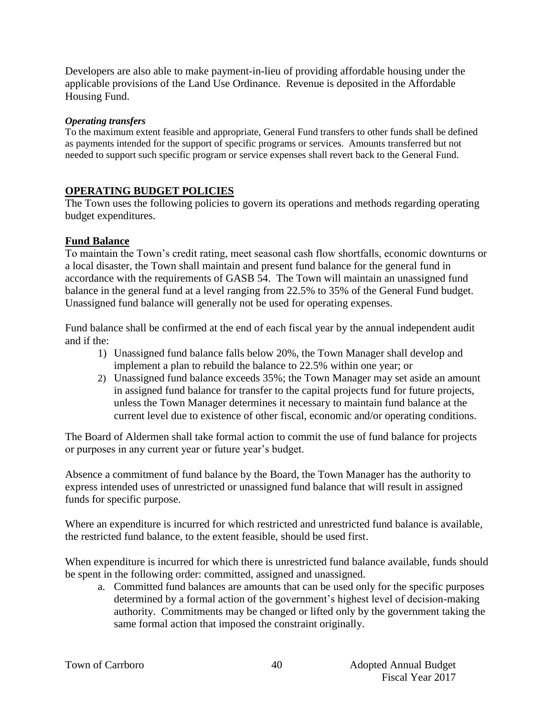Developers are also able to make payment-in-lieu of providing affordable housing under the applicable provisions of the Land Use Ordinance. Revenue is deposited in the Affordable Housing Fund.

#### *Operating transfers*

To the maximum extent feasible and appropriate, General Fund transfers to other funds shall be defined as payments intended for the support of specific programs or services. Amounts transferred but not needed to support such specific program or service expenses shall revert back to the General Fund.

## **OPERATING BUDGET POLICIES**

The Town uses the following policies to govern its operations and methods regarding operating budget expenditures.

## **Fund Balance**

To maintain the Town's credit rating, meet seasonal cash flow shortfalls, economic downturns or a local disaster, the Town shall maintain and present fund balance for the general fund in accordance with the requirements of GASB 54. The Town will maintain an unassigned fund balance in the general fund at a level ranging from 22.5% to 35% of the General Fund budget. Unassigned fund balance will generally not be used for operating expenses.

Fund balance shall be confirmed at the end of each fiscal year by the annual independent audit and if the:

- 1) Unassigned fund balance falls below 20%, the Town Manager shall develop and implement a plan to rebuild the balance to 22.5% within one year; or
- 2) Unassigned fund balance exceeds 35%; the Town Manager may set aside an amount in assigned fund balance for transfer to the capital projects fund for future projects, unless the Town Manager determines it necessary to maintain fund balance at the current level due to existence of other fiscal, economic and/or operating conditions.

The Board of Aldermen shall take formal action to commit the use of fund balance for projects or purposes in any current year or future year's budget.

Absence a commitment of fund balance by the Board, the Town Manager has the authority to express intended uses of unrestricted or unassigned fund balance that will result in assigned funds for specific purpose.

Where an expenditure is incurred for which restricted and unrestricted fund balance is available, the restricted fund balance, to the extent feasible, should be used first.

When expenditure is incurred for which there is unrestricted fund balance available, funds should be spent in the following order: committed, assigned and unassigned.

a. Committed fund balances are amounts that can be used only for the specific purposes determined by a formal action of the government's highest level of decision-making authority. Commitments may be changed or lifted only by the government taking the same formal action that imposed the constraint originally.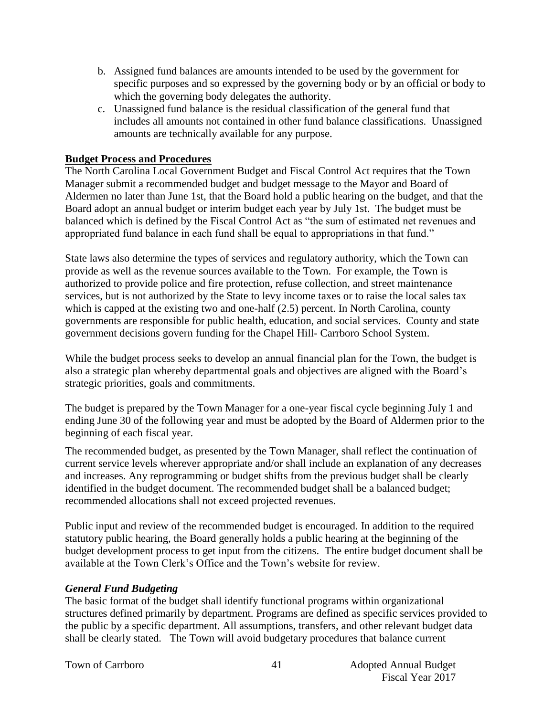- b. Assigned fund balances are amounts intended to be used by the government for specific purposes and so expressed by the governing body or by an official or body to which the governing body delegates the authority.
- c. Unassigned fund balance is the residual classification of the general fund that includes all amounts not contained in other fund balance classifications. Unassigned amounts are technically available for any purpose.

# **Budget Process and Procedures**

The North Carolina Local Government Budget and Fiscal Control Act requires that the Town Manager submit a recommended budget and budget message to the Mayor and Board of Aldermen no later than June 1st, that the Board hold a public hearing on the budget, and that the Board adopt an annual budget or interim budget each year by July 1st. The budget must be balanced which is defined by the Fiscal Control Act as "the sum of estimated net revenues and appropriated fund balance in each fund shall be equal to appropriations in that fund."

State laws also determine the types of services and regulatory authority, which the Town can provide as well as the revenue sources available to the Town. For example, the Town is authorized to provide police and fire protection, refuse collection, and street maintenance services, but is not authorized by the State to levy income taxes or to raise the local sales tax which is capped at the existing two and one-half  $(2.5)$  percent. In North Carolina, county governments are responsible for public health, education, and social services. County and state government decisions govern funding for the Chapel Hill- Carrboro School System.

While the budget process seeks to develop an annual financial plan for the Town, the budget is also a strategic plan whereby departmental goals and objectives are aligned with the Board's strategic priorities, goals and commitments.

The budget is prepared by the Town Manager for a one-year fiscal cycle beginning July 1 and ending June 30 of the following year and must be adopted by the Board of Aldermen prior to the beginning of each fiscal year.

The recommended budget, as presented by the Town Manager, shall reflect the continuation of current service levels wherever appropriate and/or shall include an explanation of any decreases and increases. Any reprogramming or budget shifts from the previous budget shall be clearly identified in the budget document. The recommended budget shall be a balanced budget; recommended allocations shall not exceed projected revenues.

Public input and review of the recommended budget is encouraged. In addition to the required statutory public hearing, the Board generally holds a public hearing at the beginning of the budget development process to get input from the citizens. The entire budget document shall be available at the Town Clerk's Office and the Town's website for review.

## *General Fund Budgeting*

The basic format of the budget shall identify functional programs within organizational structures defined primarily by department. Programs are defined as specific services provided to the public by a specific department. All assumptions, transfers, and other relevant budget data shall be clearly stated. The Town will avoid budgetary procedures that balance current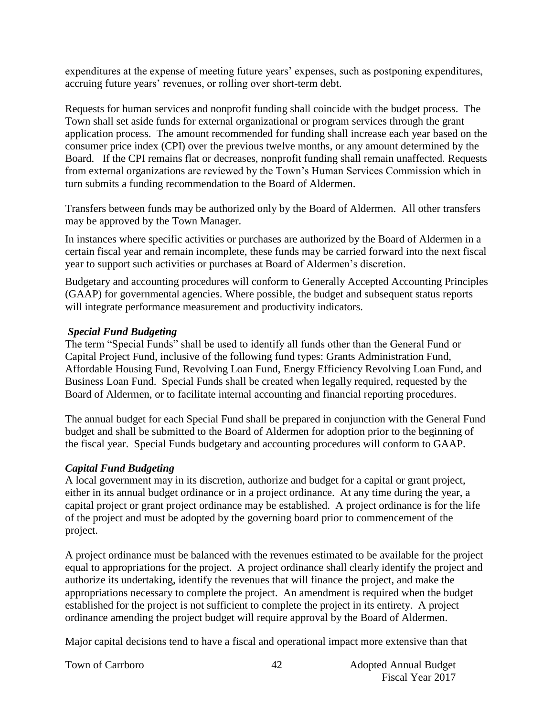expenditures at the expense of meeting future years' expenses, such as postponing expenditures, accruing future years' revenues, or rolling over short-term debt.

Requests for human services and nonprofit funding shall coincide with the budget process. The Town shall set aside funds for external organizational or program services through the grant application process. The amount recommended for funding shall increase each year based on the consumer price index (CPI) over the previous twelve months, or any amount determined by the Board. If the CPI remains flat or decreases, nonprofit funding shall remain unaffected. Requests from external organizations are reviewed by the Town's Human Services Commission which in turn submits a funding recommendation to the Board of Aldermen.

Transfers between funds may be authorized only by the Board of Aldermen. All other transfers may be approved by the Town Manager.

In instances where specific activities or purchases are authorized by the Board of Aldermen in a certain fiscal year and remain incomplete, these funds may be carried forward into the next fiscal year to support such activities or purchases at Board of Aldermen's discretion.

Budgetary and accounting procedures will conform to Generally Accepted Accounting Principles (GAAP) for governmental agencies. Where possible, the budget and subsequent status reports will integrate performance measurement and productivity indicators.

## *Special Fund Budgeting*

The term "Special Funds" shall be used to identify all funds other than the General Fund or Capital Project Fund, inclusive of the following fund types: Grants Administration Fund, Affordable Housing Fund, Revolving Loan Fund, Energy Efficiency Revolving Loan Fund, and Business Loan Fund. Special Funds shall be created when legally required, requested by the Board of Aldermen, or to facilitate internal accounting and financial reporting procedures.

The annual budget for each Special Fund shall be prepared in conjunction with the General Fund budget and shall be submitted to the Board of Aldermen for adoption prior to the beginning of the fiscal year. Special Funds budgetary and accounting procedures will conform to GAAP.

## *Capital Fund Budgeting*

A local government may in its discretion, authorize and budget for a capital or grant project, either in its annual budget ordinance or in a project ordinance. At any time during the year, a capital project or grant project ordinance may be established. A project ordinance is for the life of the project and must be adopted by the governing board prior to commencement of the project.

A project ordinance must be balanced with the revenues estimated to be available for the project equal to appropriations for the project. A project ordinance shall clearly identify the project and authorize its undertaking, identify the revenues that will finance the project, and make the appropriations necessary to complete the project. An amendment is required when the budget established for the project is not sufficient to complete the project in its entirety. A project ordinance amending the project budget will require approval by the Board of Aldermen.

Major capital decisions tend to have a fiscal and operational impact more extensive than that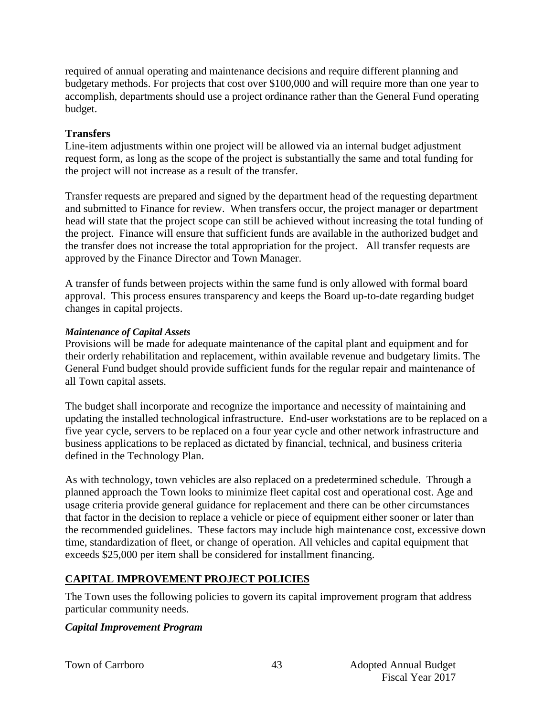required of annual operating and maintenance decisions and require different planning and budgetary methods. For projects that cost over \$100,000 and will require more than one year to accomplish, departments should use a project ordinance rather than the General Fund operating budget.

#### **Transfers**

Line-item adjustments within one project will be allowed via an internal budget adjustment request form, as long as the scope of the project is substantially the same and total funding for the project will not increase as a result of the transfer.

Transfer requests are prepared and signed by the department head of the requesting department and submitted to Finance for review. When transfers occur, the project manager or department head will state that the project scope can still be achieved without increasing the total funding of the project. Finance will ensure that sufficient funds are available in the authorized budget and the transfer does not increase the total appropriation for the project. All transfer requests are approved by the Finance Director and Town Manager.

A transfer of funds between projects within the same fund is only allowed with formal board approval. This process ensures transparency and keeps the Board up-to-date regarding budget changes in capital projects.

#### *Maintenance of Capital Assets*

Provisions will be made for adequate maintenance of the capital plant and equipment and for their orderly rehabilitation and replacement, within available revenue and budgetary limits. The General Fund budget should provide sufficient funds for the regular repair and maintenance of all Town capital assets.

The budget shall incorporate and recognize the importance and necessity of maintaining and updating the installed technological infrastructure. End-user workstations are to be replaced on a five year cycle, servers to be replaced on a four year cycle and other network infrastructure and business applications to be replaced as dictated by financial, technical, and business criteria defined in the Technology Plan.

As with technology, town vehicles are also replaced on a predetermined schedule. Through a planned approach the Town looks to minimize fleet capital cost and operational cost. Age and usage criteria provide general guidance for replacement and there can be other circumstances that factor in the decision to replace a vehicle or piece of equipment either sooner or later than the recommended guidelines. These factors may include high maintenance cost, excessive down time, standardization of fleet, or change of operation. All vehicles and capital equipment that exceeds \$25,000 per item shall be considered for installment financing.

## **CAPITAL IMPROVEMENT PROJECT POLICIES**

The Town uses the following policies to govern its capital improvement program that address particular community needs.

## *Capital Improvement Program*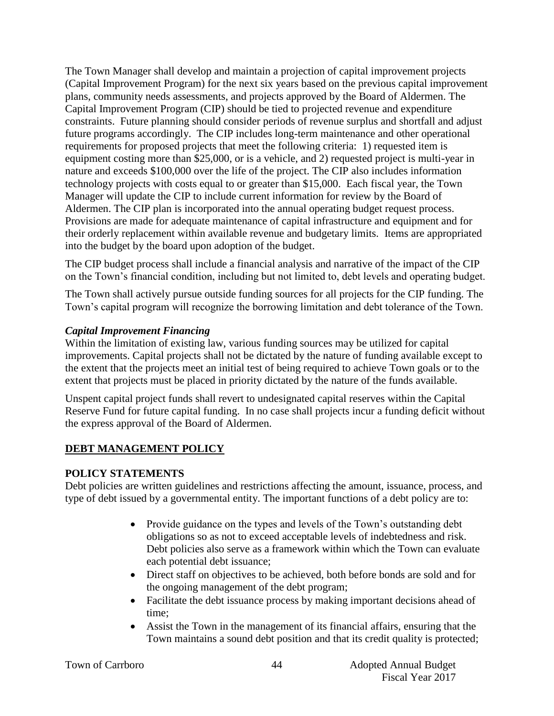The Town Manager shall develop and maintain a projection of capital improvement projects (Capital Improvement Program) for the next six years based on the previous capital improvement plans, community needs assessments, and projects approved by the Board of Aldermen. The Capital Improvement Program (CIP) should be tied to projected revenue and expenditure constraints. Future planning should consider periods of revenue surplus and shortfall and adjust future programs accordingly. The CIP includes long-term maintenance and other operational requirements for proposed projects that meet the following criteria: 1) requested item is equipment costing more than \$25,000, or is a vehicle, and 2) requested project is multi-year in nature and exceeds \$100,000 over the life of the project. The CIP also includes information technology projects with costs equal to or greater than \$15,000. Each fiscal year, the Town Manager will update the CIP to include current information for review by the Board of Aldermen. The CIP plan is incorporated into the annual operating budget request process. Provisions are made for adequate maintenance of capital infrastructure and equipment and for their orderly replacement within available revenue and budgetary limits. Items are appropriated into the budget by the board upon adoption of the budget.

The CIP budget process shall include a financial analysis and narrative of the impact of the CIP on the Town's financial condition, including but not limited to, debt levels and operating budget.

The Town shall actively pursue outside funding sources for all projects for the CIP funding. The Town's capital program will recognize the borrowing limitation and debt tolerance of the Town.

## *Capital Improvement Financing*

Within the limitation of existing law, various funding sources may be utilized for capital improvements. Capital projects shall not be dictated by the nature of funding available except to the extent that the projects meet an initial test of being required to achieve Town goals or to the extent that projects must be placed in priority dictated by the nature of the funds available.

Unspent capital project funds shall revert to undesignated capital reserves within the Capital Reserve Fund for future capital funding. In no case shall projects incur a funding deficit without the express approval of the Board of Aldermen.

# **DEBT MANAGEMENT POLICY**

## **POLICY STATEMENTS**

Debt policies are written guidelines and restrictions affecting the amount, issuance, process, and type of debt issued by a governmental entity. The important functions of a debt policy are to:

- Provide guidance on the types and levels of the Town's outstanding debt obligations so as not to exceed acceptable levels of indebtedness and risk. Debt policies also serve as a framework within which the Town can evaluate each potential debt issuance;
- Direct staff on objectives to be achieved, both before bonds are sold and for the ongoing management of the debt program;
- Facilitate the debt issuance process by making important decisions ahead of time;
- Assist the Town in the management of its financial affairs, ensuring that the Town maintains a sound debt position and that its credit quality is protected;

44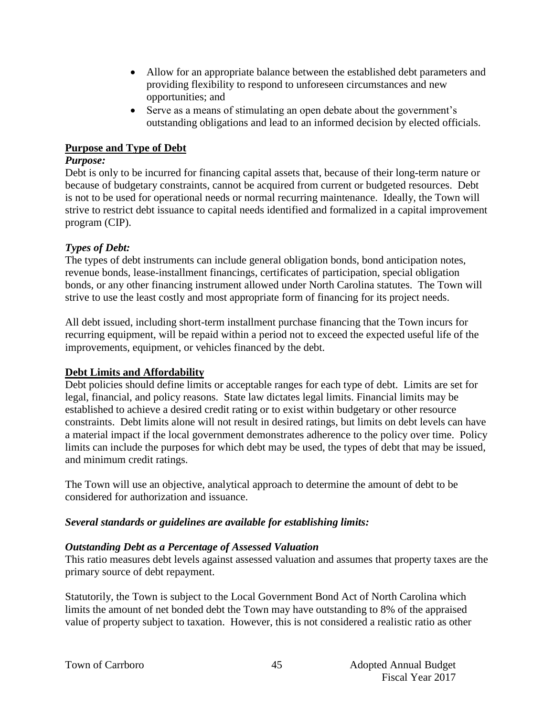- Allow for an appropriate balance between the established debt parameters and providing flexibility to respond to unforeseen circumstances and new opportunities; and
- Serve as a means of stimulating an open debate about the government's outstanding obligations and lead to an informed decision by elected officials.

#### **Purpose and Type of Debt**

#### *Purpose:*

Debt is only to be incurred for financing capital assets that, because of their long-term nature or because of budgetary constraints, cannot be acquired from current or budgeted resources. Debt is not to be used for operational needs or normal recurring maintenance. Ideally, the Town will strive to restrict debt issuance to capital needs identified and formalized in a capital improvement program (CIP).

## *Types of Debt:*

The types of debt instruments can include general obligation bonds, bond anticipation notes, revenue bonds, lease-installment financings, certificates of participation, special obligation bonds, or any other financing instrument allowed under North Carolina statutes. The Town will strive to use the least costly and most appropriate form of financing for its project needs.

All debt issued, including short-term installment purchase financing that the Town incurs for recurring equipment, will be repaid within a period not to exceed the expected useful life of the improvements, equipment, or vehicles financed by the debt.

## **Debt Limits and Affordability**

Debt policies should define limits or acceptable ranges for each type of debt. Limits are set for legal, financial, and policy reasons. State law dictates legal limits. Financial limits may be established to achieve a desired credit rating or to exist within budgetary or other resource constraints. Debt limits alone will not result in desired ratings, but limits on debt levels can have a material impact if the local government demonstrates adherence to the policy over time. Policy limits can include the purposes for which debt may be used, the types of debt that may be issued, and minimum credit ratings.

The Town will use an objective, analytical approach to determine the amount of debt to be considered for authorization and issuance.

## *Several standards or guidelines are available for establishing limits:*

## *Outstanding Debt as a Percentage of Assessed Valuation*

This ratio measures debt levels against assessed valuation and assumes that property taxes are the primary source of debt repayment.

Statutorily, the Town is subject to the Local Government Bond Act of North Carolina which limits the amount of net bonded debt the Town may have outstanding to 8% of the appraised value of property subject to taxation. However, this is not considered a realistic ratio as other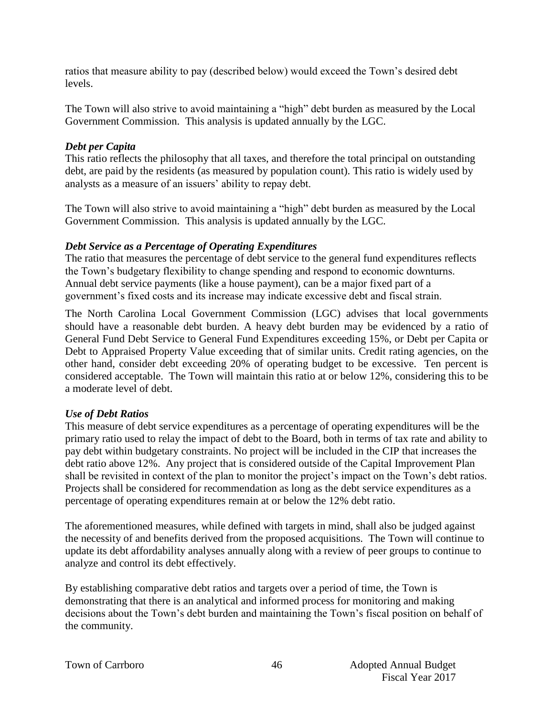ratios that measure ability to pay (described below) would exceed the Town's desired debt levels.

The Town will also strive to avoid maintaining a "high" debt burden as measured by the Local Government Commission. This analysis is updated annually by the LGC.

#### *Debt per Capita*

This ratio reflects the philosophy that all taxes, and therefore the total principal on outstanding debt, are paid by the residents (as measured by population count). This ratio is widely used by analysts as a measure of an issuers' ability to repay debt.

The Town will also strive to avoid maintaining a "high" debt burden as measured by the Local Government Commission. This analysis is updated annually by the LGC.

#### *Debt Service as a Percentage of Operating Expenditures*

The ratio that measures the percentage of debt service to the general fund expenditures reflects the Town's budgetary flexibility to change spending and respond to economic downturns. Annual debt service payments (like a house payment), can be a major fixed part of a government's fixed costs and its increase may indicate excessive debt and fiscal strain.

The North Carolina Local Government Commission (LGC) advises that local governments should have a reasonable debt burden. A heavy debt burden may be evidenced by a ratio of General Fund Debt Service to General Fund Expenditures exceeding 15%, or Debt per Capita or Debt to Appraised Property Value exceeding that of similar units. Credit rating agencies, on the other hand, consider debt exceeding 20% of operating budget to be excessive. Ten percent is considered acceptable. The Town will maintain this ratio at or below 12%, considering this to be a moderate level of debt.

## *Use of Debt Ratios*

This measure of debt service expenditures as a percentage of operating expenditures will be the primary ratio used to relay the impact of debt to the Board, both in terms of tax rate and ability to pay debt within budgetary constraints. No project will be included in the CIP that increases the debt ratio above 12%. Any project that is considered outside of the Capital Improvement Plan shall be revisited in context of the plan to monitor the project's impact on the Town's debt ratios. Projects shall be considered for recommendation as long as the debt service expenditures as a percentage of operating expenditures remain at or below the 12% debt ratio.

The aforementioned measures, while defined with targets in mind, shall also be judged against the necessity of and benefits derived from the proposed acquisitions. The Town will continue to update its debt affordability analyses annually along with a review of peer groups to continue to analyze and control its debt effectively.

By establishing comparative debt ratios and targets over a period of time, the Town is demonstrating that there is an analytical and informed process for monitoring and making decisions about the Town's debt burden and maintaining the Town's fiscal position on behalf of the community.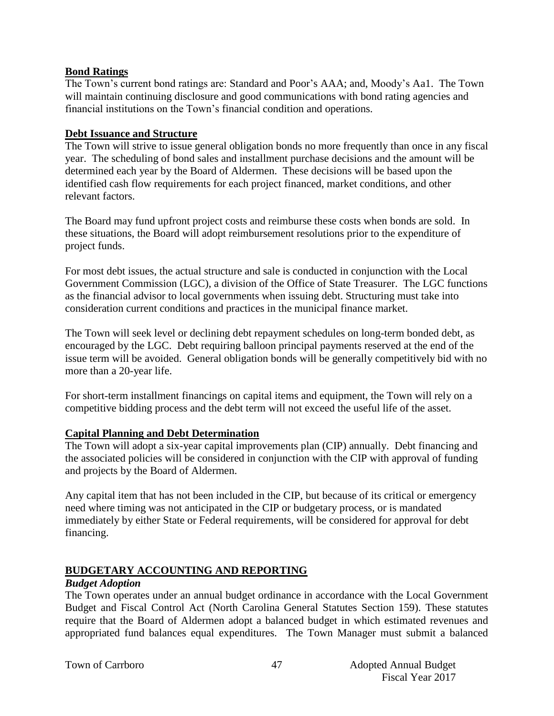#### **Bond Ratings**

The Town's current bond ratings are: Standard and Poor's AAA; and, Moody's Aa1. The Town will maintain continuing disclosure and good communications with bond rating agencies and financial institutions on the Town's financial condition and operations.

#### **Debt Issuance and Structure**

The Town will strive to issue general obligation bonds no more frequently than once in any fiscal year. The scheduling of bond sales and installment purchase decisions and the amount will be determined each year by the Board of Aldermen. These decisions will be based upon the identified cash flow requirements for each project financed, market conditions, and other relevant factors.

The Board may fund upfront project costs and reimburse these costs when bonds are sold. In these situations, the Board will adopt reimbursement resolutions prior to the expenditure of project funds.

For most debt issues, the actual structure and sale is conducted in conjunction with the Local Government Commission (LGC), a division of the Office of State Treasurer. The LGC functions as the financial advisor to local governments when issuing debt. Structuring must take into consideration current conditions and practices in the municipal finance market.

The Town will seek level or declining debt repayment schedules on long-term bonded debt, as encouraged by the LGC. Debt requiring balloon principal payments reserved at the end of the issue term will be avoided. General obligation bonds will be generally competitively bid with no more than a 20-year life.

For short-term installment financings on capital items and equipment, the Town will rely on a competitive bidding process and the debt term will not exceed the useful life of the asset.

## **Capital Planning and Debt Determination**

The Town will adopt a six-year capital improvements plan (CIP) annually. Debt financing and the associated policies will be considered in conjunction with the CIP with approval of funding and projects by the Board of Aldermen.

Any capital item that has not been included in the CIP, but because of its critical or emergency need where timing was not anticipated in the CIP or budgetary process, or is mandated immediately by either State or Federal requirements, will be considered for approval for debt financing.

## **BUDGETARY ACCOUNTING AND REPORTING**

#### *Budget Adoption*

The Town operates under an annual budget ordinance in accordance with the Local Government Budget and Fiscal Control Act (North Carolina General Statutes Section 159). These statutes require that the Board of Aldermen adopt a balanced budget in which estimated revenues and appropriated fund balances equal expenditures. The Town Manager must submit a balanced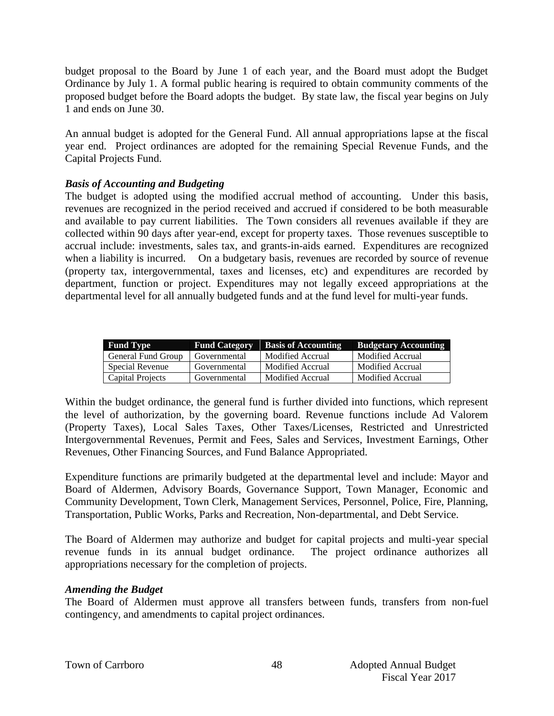budget proposal to the Board by June 1 of each year, and the Board must adopt the Budget Ordinance by July 1. A formal public hearing is required to obtain community comments of the proposed budget before the Board adopts the budget. By state law, the fiscal year begins on July 1 and ends on June 30.

An annual budget is adopted for the General Fund. All annual appropriations lapse at the fiscal year end. Project ordinances are adopted for the remaining Special Revenue Funds, and the Capital Projects Fund.

## *Basis of Accounting and Budgeting*

The budget is adopted using the modified accrual method of accounting. Under this basis, revenues are recognized in the period received and accrued if considered to be both measurable and available to pay current liabilities. The Town considers all revenues available if they are collected within 90 days after year-end, except for property taxes. Those revenues susceptible to accrual include: investments, sales tax, and grants-in-aids earned. Expenditures are recognized when a liability is incurred. On a budgetary basis, revenues are recorded by source of revenue (property tax, intergovernmental, taxes and licenses, etc) and expenditures are recorded by department, function or project. Expenditures may not legally exceed appropriations at the departmental level for all annually budgeted funds and at the fund level for multi-year funds.

| <b>Fund Type</b>   | <b>Fund Category</b> | <b>Basis of Accounting</b> | <b>Budgetary Accounting</b> |
|--------------------|----------------------|----------------------------|-----------------------------|
| General Fund Group | Governmental         | Modified Accrual           | Modified Accrual            |
| Special Revenue    | Governmental         | Modified Accrual           | Modified Accrual            |
| Capital Projects   | Governmental         | Modified Accrual           | Modified Accrual            |

Within the budget ordinance, the general fund is further divided into functions, which represent the level of authorization, by the governing board. Revenue functions include Ad Valorem (Property Taxes), Local Sales Taxes, Other Taxes/Licenses, Restricted and Unrestricted Intergovernmental Revenues, Permit and Fees, Sales and Services, Investment Earnings, Other Revenues, Other Financing Sources, and Fund Balance Appropriated.

Expenditure functions are primarily budgeted at the departmental level and include: Mayor and Board of Aldermen, Advisory Boards, Governance Support, Town Manager, Economic and Community Development, Town Clerk, Management Services, Personnel, Police, Fire, Planning, Transportation, Public Works, Parks and Recreation, Non-departmental, and Debt Service.

The Board of Aldermen may authorize and budget for capital projects and multi-year special revenue funds in its annual budget ordinance. The project ordinance authorizes all appropriations necessary for the completion of projects.

## *Amending the Budget*

The Board of Aldermen must approve all transfers between funds, transfers from non-fuel contingency, and amendments to capital project ordinances.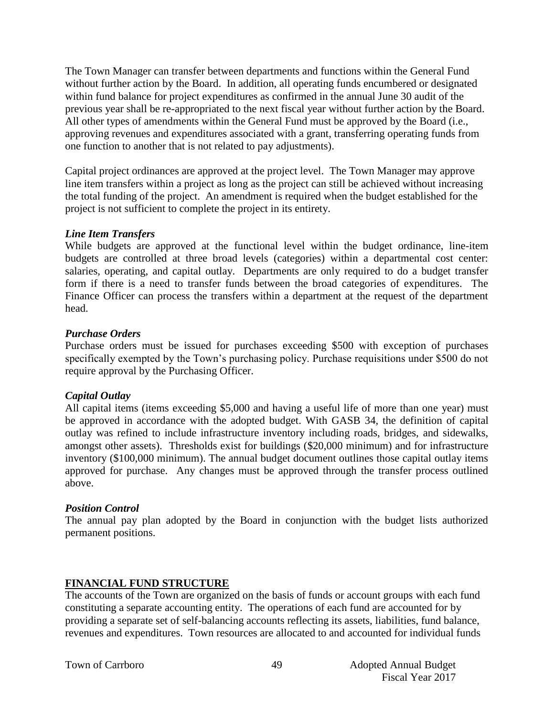The Town Manager can transfer between departments and functions within the General Fund without further action by the Board. In addition, all operating funds encumbered or designated within fund balance for project expenditures as confirmed in the annual June 30 audit of the previous year shall be re-appropriated to the next fiscal year without further action by the Board. All other types of amendments within the General Fund must be approved by the Board (i.e., approving revenues and expenditures associated with a grant, transferring operating funds from one function to another that is not related to pay adjustments).

Capital project ordinances are approved at the project level. The Town Manager may approve line item transfers within a project as long as the project can still be achieved without increasing the total funding of the project. An amendment is required when the budget established for the project is not sufficient to complete the project in its entirety.

#### *Line Item Transfers*

While budgets are approved at the functional level within the budget ordinance, line-item budgets are controlled at three broad levels (categories) within a departmental cost center: salaries, operating, and capital outlay. Departments are only required to do a budget transfer form if there is a need to transfer funds between the broad categories of expenditures. The Finance Officer can process the transfers within a department at the request of the department head.

#### *Purchase Orders*

Purchase orders must be issued for purchases exceeding \$500 with exception of purchases specifically exempted by the Town's purchasing policy. Purchase requisitions under \$500 do not require approval by the Purchasing Officer.

## *Capital Outlay*

All capital items (items exceeding \$5,000 and having a useful life of more than one year) must be approved in accordance with the adopted budget. With GASB 34, the definition of capital outlay was refined to include infrastructure inventory including roads, bridges, and sidewalks, amongst other assets). Thresholds exist for buildings (\$20,000 minimum) and for infrastructure inventory (\$100,000 minimum). The annual budget document outlines those capital outlay items approved for purchase. Any changes must be approved through the transfer process outlined above.

#### *Position Control*

The annual pay plan adopted by the Board in conjunction with the budget lists authorized permanent positions.

## **FINANCIAL FUND STRUCTURE**

The accounts of the Town are organized on the basis of funds or account groups with each fund constituting a separate accounting entity. The operations of each fund are accounted for by providing a separate set of self-balancing accounts reflecting its assets, liabilities, fund balance, revenues and expenditures. Town resources are allocated to and accounted for individual funds